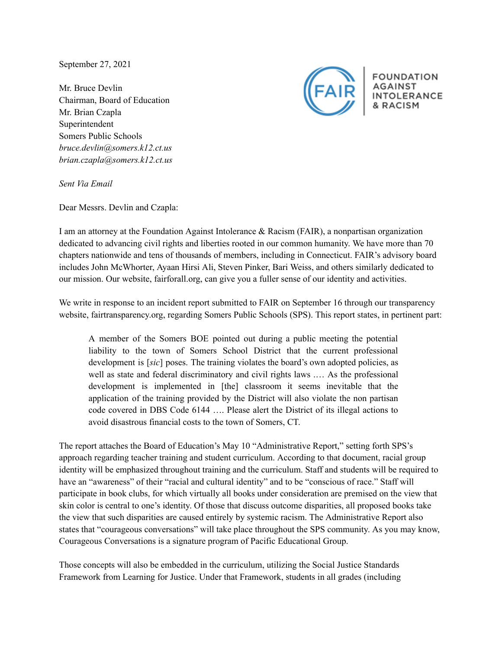September 27, 2021

Mr. Bruce Devlin Chairman, Board of Education Mr. Brian Czapla Superintendent Somers Public Schools *bruce.devlin@somers.k12.ct.us brian.czapla@somers.k12.ct.us*



**FOUNDATION** INTOLERANCE

*Sent Via Email*

Dear Messrs. Devlin and Czapla:

I am an attorney at the Foundation Against Intolerance & Racism (FAIR), a nonpartisan organization dedicated to advancing civil rights and liberties rooted in our common humanity. We have more than 70 chapters nationwide and tens of thousands of members, including in Connecticut. FAIR's advisory board includes John McWhorter, Ayaan Hirsi Ali, Steven Pinker, Bari Weiss, and others similarly dedicated to our mission. Our website, fairforall.org, can give you a fuller sense of our identity and activities.

We write in response to an incident report submitted to FAIR on September 16 through our transparency website, fairtransparency.org, regarding Somers Public Schools (SPS). This report states, in pertinent part:

A member of the Somers BOE pointed out during a public meeting the potential liability to the town of Somers School District that the current professional development is [*sic*] poses. The training violates the board's own adopted policies, as well as state and federal discriminatory and civil rights laws .… As the professional development is implemented in [the] classroom it seems inevitable that the application of the training provided by the District will also violate the non partisan code covered in DBS Code 6144 …. Please alert the District of its illegal actions to avoid disastrous financial costs to the town of Somers, CT.

The report attaches the Board of Education's May 10 "Administrative Report," setting forth SPS's approach regarding teacher training and student curriculum. According to that document, racial group identity will be emphasized throughout training and the curriculum. Staff and students will be required to have an "awareness" of their "racial and cultural identity" and to be "conscious of race." Staff will participate in book clubs, for which virtually all books under consideration are premised on the view that skin color is central to one's identity. Of those that discuss outcome disparities, all proposed books take the view that such disparities are caused entirely by systemic racism. The Administrative Report also states that "courageous conversations" will take place throughout the SPS community. As you may know, Courageous Conversations is a signature program of Pacific Educational Group.

Those concepts will also be embedded in the curriculum, utilizing the Social Justice Standards Framework from Learning for Justice. Under that Framework, students in all grades (including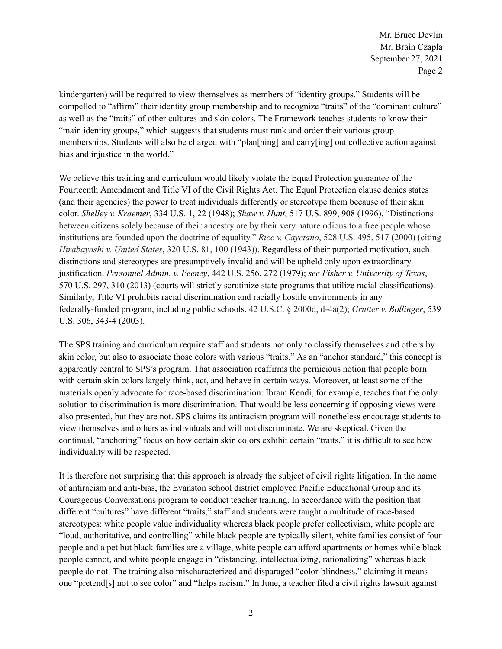Mr. Bruce Devlin Mr. Brain Czapla September 27, 2021 Page 2

kindergarten) will be required to view themselves as members of "identity groups." Students will be compelled to "affirm" their identity group membership and to recognize "traits" of the "dominant culture" as well as the "traits" of other cultures and skin colors. The Framework teaches students to know their "main identity groups," which suggests that students must rank and order their various group memberships. Students will also be charged with "plan[ning] and carry[ing] out collective action against bias and injustice in the world."

We believe this training and curriculum would likely violate the Equal Protection guarantee of the Fourteenth Amendment and Title VI of the Civil Rights Act. The Equal Protection clause denies states (and their agencies) the power to treat individuals differently or stereotype them because of their skin color. *Shelley v. Kraemer*, 334 U.S. 1, 22 (1948); *Shaw v. Hunt*, 517 U.S. 899, 908 (1996). "Distinctions between citizens solely because of their ancestry are by their very nature odious to a free people whose institutions are founded upon the doctrine of equality." *Rice v. Cayetano*, 528 U.S. 495, 517 (2000) (citing *Hirabayashi v. United States*, 320 U.S. 81, 100 (1943)). Regardless of their purported motivation, such distinctions and stereotypes are presumptively invalid and will be upheld only upon extraordinary justification. *Personnel Admin. v. Feeney*, 442 U.S. 256, 272 (1979); *see Fisher v. University of Texas*, 570 U.S. 297, 310 (2013) (courts will strictly scrutinize state programs that utilize racial classifications). Similarly, Title VI prohibits racial discrimination and racially hostile environments in any federally-funded program, including public schools. 42 U.S.C. § 2000d, d-4a(2); *Grutter v. Bollinger*, 539 U.S. 306, 343-4 (2003).

The SPS training and curriculum require staff and students not only to classify themselves and others by skin color, but also to associate those colors with various "traits." As an "anchor standard," this concept is apparently central to SPS's program. That association reaffirms the pernicious notion that people born with certain skin colors largely think, act, and behave in certain ways. Moreover, at least some of the materials openly advocate for race-based discrimination: Ibram Kendi, for example, teaches that the only solution to discrimination is more discrimination. That would be less concerning if opposing views were also presented, but they are not. SPS claims its antiracism program will nonetheless encourage students to view themselves and others as individuals and will not discriminate. We are skeptical. Given the continual, "anchoring" focus on how certain skin colors exhibit certain "traits," it is difficult to see how individuality will be respected.

It is therefore not surprising that this approach is already the subject of civil rights litigation. In the name of antiracism and anti-bias, the Evanston school district employed Pacific Educational Group and its Courageous Conversations program to conduct teacher training. In accordance with the position that different "cultures" have different "traits," staff and students were taught a multitude of race-based stereotypes: white people value individuality whereas black people prefer collectivism, white people are "loud, authoritative, and controlling" while black people are typically silent, white families consist of four people and a pet but black families are a village, white people can afford apartments or homes while black people cannot, and white people engage in "distancing, intellectualizing, rationalizing" whereas black people do not. The training also mischaracterized and disparaged "color-blindness," claiming it means one "pretend[s] not to see color" and "helps racism." In June, a teacher filed a civil rights lawsuit against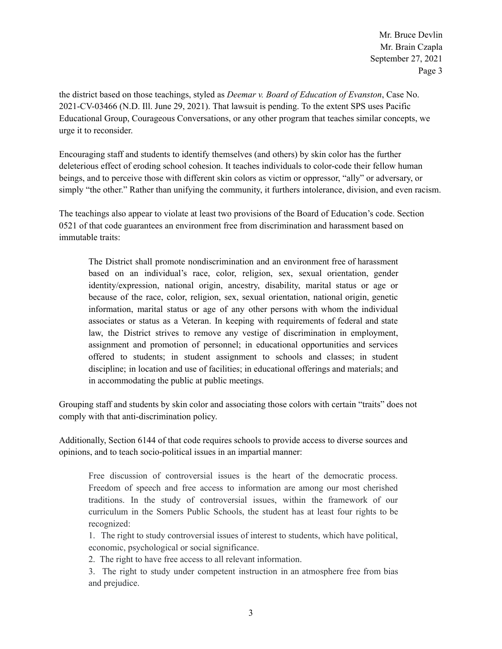Mr. Bruce Devlin Mr. Brain Czapla September 27, 2021 Page 3

the district based on those teachings, styled as *Deemar v. Board of Education of Evanston*, Case No. 2021-CV-03466 (N.D. Ill. June 29, 2021). That lawsuit is pending. To the extent SPS uses Pacific Educational Group, Courageous Conversations, or any other program that teaches similar concepts, we urge it to reconsider.

Encouraging staff and students to identify themselves (and others) by skin color has the further deleterious effect of eroding school cohesion. It teaches individuals to color-code their fellow human beings, and to perceive those with different skin colors as victim or oppressor, "ally" or adversary, or simply "the other." Rather than unifying the community, it furthers intolerance, division, and even racism.

The teachings also appear to violate at least two provisions of the Board of Education's code. Section 0521 of that code guarantees an environment free from discrimination and harassment based on immutable traits:

The District shall promote nondiscrimination and an environment free of harassment based on an individual's race, color, religion, sex, sexual orientation, gender identity/expression, national origin, ancestry, disability, marital status or age or because of the race, color, religion, sex, sexual orientation, national origin, genetic information, marital status or age of any other persons with whom the individual associates or status as a Veteran. In keeping with requirements of federal and state law, the District strives to remove any vestige of discrimination in employment, assignment and promotion of personnel; in educational opportunities and services offered to students; in student assignment to schools and classes; in student discipline; in location and use of facilities; in educational offerings and materials; and in accommodating the public at public meetings.

Grouping staff and students by skin color and associating those colors with certain "traits" does not comply with that anti-discrimination policy.

Additionally, Section 6144 of that code requires schools to provide access to diverse sources and opinions, and to teach socio-political issues in an impartial manner:

Free discussion of controversial issues is the heart of the democratic process. Freedom of speech and free access to information are among our most cherished traditions. In the study of controversial issues, within the framework of our curriculum in the Somers Public Schools, the student has at least four rights to be recognized:

1. The right to study controversial issues of interest to students, which have political, economic, psychological or social significance.

2. The right to have free access to all relevant information.

3. The right to study under competent instruction in an atmosphere free from bias and prejudice.